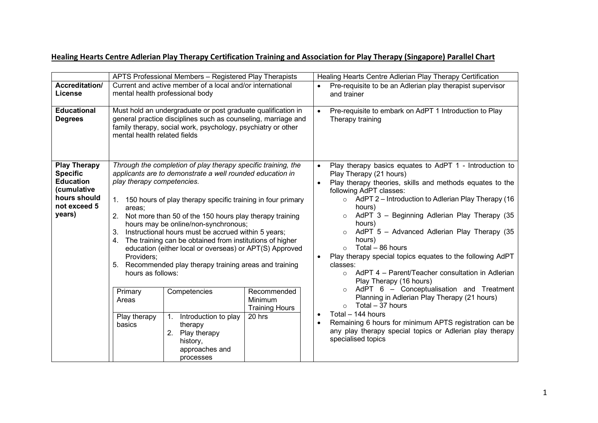## **Healing Hearts Centre Adlerian Play Therapy Certification Training and Association for Play Therapy (Singapore) Parallel Chart**

|                                                                                                                     | APTS Professional Members - Registered Play Therapists                                                                                                                                                                        |                                                                                                                        |                                                                                                                                                                                                                                                                                                                                                                                                                                                                                                  |  | Healing Hearts Centre Adlerian Play Therapy Certification                                                                                                                                                                                                                                                                                                                                                                                                                                                                                                           |  |
|---------------------------------------------------------------------------------------------------------------------|-------------------------------------------------------------------------------------------------------------------------------------------------------------------------------------------------------------------------------|------------------------------------------------------------------------------------------------------------------------|--------------------------------------------------------------------------------------------------------------------------------------------------------------------------------------------------------------------------------------------------------------------------------------------------------------------------------------------------------------------------------------------------------------------------------------------------------------------------------------------------|--|---------------------------------------------------------------------------------------------------------------------------------------------------------------------------------------------------------------------------------------------------------------------------------------------------------------------------------------------------------------------------------------------------------------------------------------------------------------------------------------------------------------------------------------------------------------------|--|
| Accreditation/<br>License                                                                                           |                                                                                                                                                                                                                               | Current and active member of a local and/or international<br>mental health professional body                           |                                                                                                                                                                                                                                                                                                                                                                                                                                                                                                  |  | Pre-requisite to be an Adlerian play therapist supervisor<br>and trainer                                                                                                                                                                                                                                                                                                                                                                                                                                                                                            |  |
| <b>Educational</b><br><b>Degrees</b>                                                                                | Must hold an undergraduate or post graduate qualification in<br>general practice disciplines such as counseling, marriage and<br>family therapy, social work, psychology, psychiatry or other<br>mental health related fields |                                                                                                                        |                                                                                                                                                                                                                                                                                                                                                                                                                                                                                                  |  | Pre-requisite to embark on AdPT 1 Introduction to Play<br>$\bullet$<br>Therapy training                                                                                                                                                                                                                                                                                                                                                                                                                                                                             |  |
| <b>Play Therapy</b><br><b>Specific</b><br><b>Education</b><br>(cumulative<br>hours should<br>not exceed 5<br>years) | play therapy competencies.<br>areas:<br>2.<br>3.<br>$\mathbf{4}$ .<br>Providers;<br>hours as follows:                                                                                                                         | hours may be online/non-synchronous;                                                                                   | Through the completion of play therapy specific training, the<br>applicants are to demonstrate a well rounded education in<br>1. 150 hours of play therapy specific training in four primary<br>Not more than 50 of the 150 hours play therapy training<br>Instructional hours must be accrued within 5 years;<br>The training can be obtained from institutions of higher<br>education (either local or overseas) or APT(S) Approved<br>5. Recommended play therapy training areas and training |  | Play therapy basics equates to AdPT 1 - Introduction to<br>Play Therapy (21 hours)<br>Play therapy theories, skills and methods equates to the<br>following AdPT classes:<br>$\circ$ AdPT 2 – Introduction to Adlerian Play Therapy (16<br>hours)<br>AdPT 3 - Beginning Adlerian Play Therapy (35<br>$\circ$<br>hours)<br>AdPT 5 - Advanced Adlerian Play Therapy (35<br>hours)<br>Total – 86 hours<br>Play therapy special topics equates to the following AdPT<br>classes:<br>$\circ$ AdPT 4 – Parent/Teacher consultation in Adlerian<br>Play Therapy (16 hours) |  |
|                                                                                                                     | Primary<br>Areas<br>Play therapy<br>basics                                                                                                                                                                                    | Competencies<br>Introduction to play<br>1.<br>therapy<br>Play therapy<br>2.<br>history,<br>approaches and<br>processes | Recommended<br>Minimum<br><b>Training Hours</b><br>20 hrs                                                                                                                                                                                                                                                                                                                                                                                                                                        |  | AdPT 6 - Conceptualisation and Treatment<br>$\circ$<br>Planning in Adlerian Play Therapy (21 hours)<br>Total - 37 hours<br>Total - 144 hours<br>Remaining 6 hours for minimum APTS registration can be<br>any play therapy special topics or Adlerian play therapy<br>specialised topics                                                                                                                                                                                                                                                                            |  |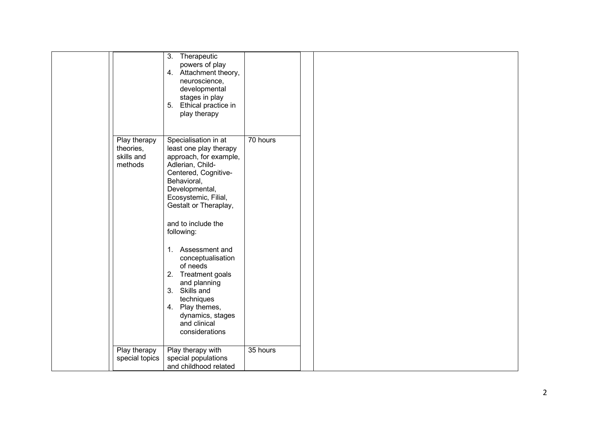|                                                    | 3. Therapeutic<br>powers of play<br>4. Attachment theory,<br>neuroscience,<br>developmental<br>stages in play<br>5. Ethical practice in<br>play therapy                                                                                                                                                                                                                                                                                           |          |  |
|----------------------------------------------------|---------------------------------------------------------------------------------------------------------------------------------------------------------------------------------------------------------------------------------------------------------------------------------------------------------------------------------------------------------------------------------------------------------------------------------------------------|----------|--|
| Play therapy<br>theories,<br>skills and<br>methods | Specialisation in at<br>least one play therapy<br>approach, for example,<br>Adlerian, Child-<br>Centered, Cognitive-<br>Behavioral,<br>Developmental,<br>Ecosystemic, Filial,<br>Gestalt or Theraplay,<br>and to include the<br>following:<br>1. Assessment and<br>conceptualisation<br>of needs<br>2.<br>Treatment goals<br>and planning<br>3. Skills and<br>techniques<br>4. Play themes,<br>dynamics, stages<br>and clinical<br>considerations | 70 hours |  |
| Play therapy<br>special topics                     | Play therapy with<br>special populations<br>and childhood related                                                                                                                                                                                                                                                                                                                                                                                 | 35 hours |  |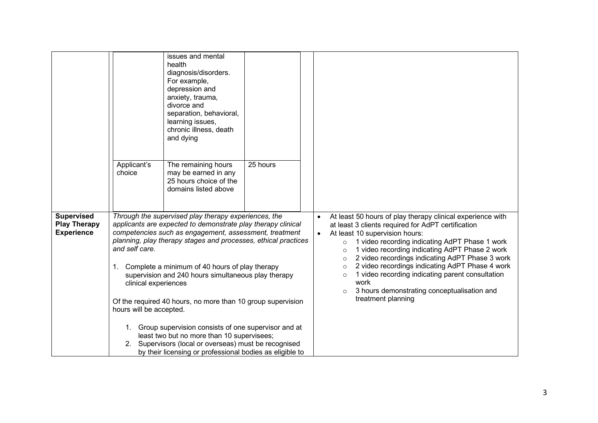|                                                               | Applicant's<br>choice                                                                                                                                                                                                     | issues and mental<br>health<br>diagnosis/disorders.<br>For example,<br>depression and<br>anxiety, trauma,<br>divorce and<br>separation, behavioral,<br>learning issues,<br>chronic illness, death<br>and dying<br>The remaining hours<br>may be earned in any<br>25 hours choice of the<br>domains listed above                                                                                                                                                             | 25 hours |                                                                                                                                                                                                                                                                                                                                                                                                                                                                                                                                                                              |
|---------------------------------------------------------------|---------------------------------------------------------------------------------------------------------------------------------------------------------------------------------------------------------------------------|-----------------------------------------------------------------------------------------------------------------------------------------------------------------------------------------------------------------------------------------------------------------------------------------------------------------------------------------------------------------------------------------------------------------------------------------------------------------------------|----------|------------------------------------------------------------------------------------------------------------------------------------------------------------------------------------------------------------------------------------------------------------------------------------------------------------------------------------------------------------------------------------------------------------------------------------------------------------------------------------------------------------------------------------------------------------------------------|
| <b>Supervised</b><br><b>Play Therapy</b><br><b>Experience</b> | and self care.<br>1.                                                                                                                                                                                                      | Through the supervised play therapy experiences, the<br>applicants are expected to demonstrate play therapy clinical<br>competencies such as engagement, assessment, treatment<br>planning, play therapy stages and processes, ethical practices<br>Complete a minimum of 40 hours of play therapy<br>supervision and 240 hours simultaneous play therapy<br>clinical experiences<br>Of the required 40 hours, no more than 10 group supervision<br>hours will be accepted. |          | At least 50 hours of play therapy clinical experience with<br>at least 3 clients required for AdPT certification<br>At least 10 supervision hours:<br>$\bullet$<br>1 video recording indicating AdPT Phase 1 work<br>$\circ$<br>1 video recording indicating AdPT Phase 2 work<br>$\circ$<br>2 video recordings indicating AdPT Phase 3 work<br>$\circ$<br>2 video recordings indicating AdPT Phase 4 work<br>$\circ$<br>1 video recording indicating parent consultation<br>$\circ$<br>work<br>3 hours demonstrating conceptualisation and<br>$\circ$<br>treatment planning |
|                                                               | 1. Group supervision consists of one supervisor and at<br>least two but no more than 10 supervisees;<br>2. Supervisors (local or overseas) must be recognised<br>by their licensing or professional bodies as eligible to |                                                                                                                                                                                                                                                                                                                                                                                                                                                                             |          |                                                                                                                                                                                                                                                                                                                                                                                                                                                                                                                                                                              |